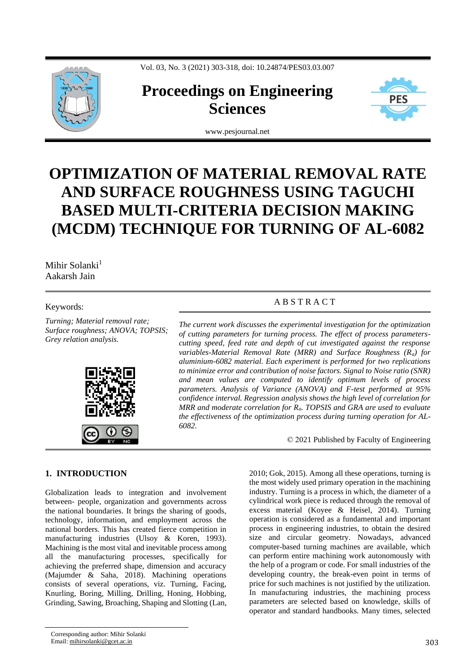Vol. 03, No. 3 (2021) 303-318, doi: 10.24874/PES03.03.007



# **Proceedings on Engineering Sciences**



www.pesjournal.net

# **OPTIMIZATION OF MATERIAL REMOVAL RATE AND SURFACE ROUGHNESS USING TAGUCHI BASED MULTI-CRITERIA DECISION MAKING (MCDM) TECHNIQUE FOR TURNING OF AL-6082**

# Mihir Solanki<sup>1</sup> Aakarsh Jain

# Keywords:

*Turning; Material removal rate; Surface roughness; ANOVA; TOPSIS; Grey relation analysis.*



# A B S T R A C T

*The current work discusses the experimental investigation for the optimization of cutting parameters for turning process. The effect of process parameterscutting speed, feed rate and depth of cut investigated against the response variables-Material Removal Rate (MRR) and Surface Roughness (Ra) for aluminium-6082 material. Each experiment is performed for two replications to minimize error and contribution of noise factors. Signal to Noise ratio (SNR) and mean values are computed to identify optimum levels of process parameters. Analysis of Variance (ANOVA) and F-test performed at 95% confidence interval. Regression analysis shows the high level of correlation for MRR and moderate correlation for Ra. TOPSIS and GRA are used to evaluate the effectiveness of the optimization process during turning operation for AL-6082.*

© 2021 Published by Faculty of Engineering

# **1. INTRODUCTION**

Globalization leads to integration and involvement between- people, organization and governments across the national boundaries. It brings the sharing of goods, technology, information, and employment across the national borders. This has created fierce competition in manufacturing industries (Ulsoy & Koren, 1993). Machining is the most vital and inevitable process among all the manufacturing processes, specifically for achieving the preferred shape, dimension and accuracy (Majumder & Saha, 2018). Machining operations consists of several operations, viz. Turning, Facing, Knurling, Boring, Milling, Drilling, Honing, Hobbing, Grinding, Sawing, Broaching, Shaping and Slotting (Lan,

Corresponding author: Mihir Solanki Email: mihirsolanki@gcet.ac.in 303

2010; Gok, 2015). Among all these operations, turning is the most widely used primary operation in the machining industry. Turning is a process in which, the diameter of a cylindrical work piece is reduced through the removal of excess material (Koyee & Heisel, 2014). Turning operation is considered as a fundamental and important process in engineering industries, to obtain the desired size and circular geometry. Nowadays, advanced computer-based turning machines are available, which can perform entire machining work autonomously with the help of a program or code. For small industries of the developing country, the break-even point in terms of price for such machines is not justified by the utilization. In manufacturing industries, the machining process parameters are selected based on knowledge, skills of operator and standard handbooks. Many times, selected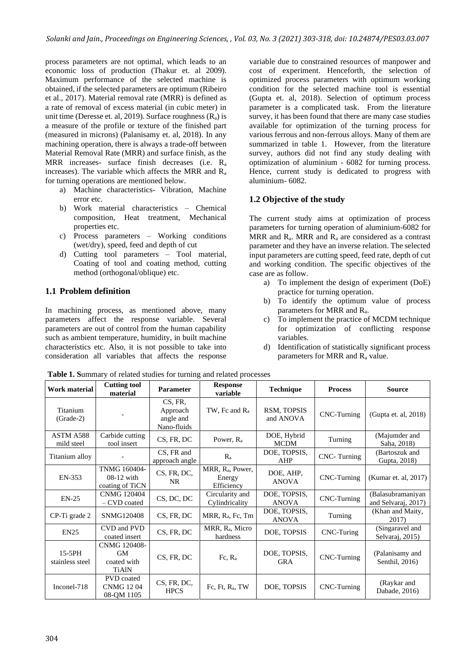process parameters are not optimal, which leads to an economic loss of production (Thakur et. al 2009). Maximum performance of the selected machine is obtained, if the selected parameters are optimum (Ribeiro et al., 2017). Material removal rate (MRR) is defined as a rate of removal of excess material (in cubic meter) in unit time (Deresse et. al. 2019). Surface roughness  $(R_a)$  is a measure of the profile or texture of the finished part (measured in microns) (Palanisamy et. al, 2018). In any machining operation, there is always a trade-off between Material Removal Rate (MRR) and surface finish, as the MRR increases- surface finish decreases (i.e. R<sup>a</sup> increases). The variable which affects the MRR and  $R_a$ for turning operations are mentioned below.

- a) Machine characteristics- Vibration, Machine error etc.
- b) Work material characteristics Chemical composition, Heat treatment, Mechanical properties etc.
- c) Process parameters Working conditions (wet/dry), speed, feed and depth of cut
- d) Cutting tool parameters Tool material, Coating of tool and coating method, cutting method (orthogonal/oblique) etc.

# **1.1 Problem definition**

In machining process, as mentioned above, many parameters affect the response variable. Several parameters are out of control from the human capability such as ambient temperature, humidity, in built machine characteristics etc. Also, it is not possible to take into consideration all variables that affects the response variable due to constrained resources of manpower and cost of experiment. Henceforth, the selection of optimized process parameters with optimum working condition for the selected machine tool is essential (Gupta et. al, 2018). Selection of optimum process parameter is a complicated task. From the literature survey, it has been found that there are many case studies available for optimization of the turning process for various ferrous and non-ferrous alloys. Many of them are summarized in table 1. However, from the literature survey, authors did not find any study dealing with optimization of aluminium - 6082 for turning process. Hence, current study is dedicated to progress with aluminium- 6082.

# **1.2 Objective of the study**

The current study aims at optimization of process parameters for turning operation of aluminium-6082 for MRR and  $R_a$ . MRR and  $R_a$  are considered as a contrast parameter and they have an inverse relation. The selected input parameters are cutting speed, feed rate, depth of cut and working condition. The specific objectives of the case are as follow.

- a) To implement the design of experiment (DoE) practice for turning operation.
- b) To identify the optimum value of process parameters for MRR and Ra.
- c) To implement the practice of MCDM technique for optimization of conflicting response variables.
- d) Identification of statistically significant process parameters for MRR and R<sup>a</sup> value.

| Work material                | <b>Cutting tool</b><br>material                          | <b>Parameter</b>                                | <b>Response</b><br>variable                          | <b>Technique</b>             | <b>Process</b> | <b>Source</b>                            |
|------------------------------|----------------------------------------------------------|-------------------------------------------------|------------------------------------------------------|------------------------------|----------------|------------------------------------------|
| Titanium<br>$(Grade-2)$      |                                                          | CS, FR,<br>Approach<br>angle and<br>Nano-fluids | TW, Fc and $R_a$                                     | RSM, TOPSIS<br>and ANOVA     | CNC-Turning    | (Gupta et. al, 2018)                     |
| ASTM A588<br>mild steel      | Carbide cutting<br>tool insert                           | CS, FR, DC                                      | Power, R <sub>a</sub>                                | DOE, Hybrid<br><b>MCDM</b>   | Turning        | (Majumder and<br>Saha, 2018)             |
| Titanium alloy               |                                                          | CS, FR and<br>approach angle                    | $R_{a}$                                              | DOE, TOPSIS,<br>AHP          | CNC-Turning    | (Bartoszuk and<br>Gupta, 2018)           |
| EN-353                       | TNMG 160404-<br>$08-12$ with<br>coating of TiCN          | CS, FR, DC,<br><b>NR</b>                        | MRR, R <sub>a</sub> , Power,<br>Energy<br>Efficiency | DOE, AHP,<br><b>ANOVA</b>    | CNC-Turning    | (Kumar et. al, 2017)                     |
| $EN-25$                      | <b>CNMG 120404</b><br>- CVD coated                       | CS, DC, DC                                      | Circularity and<br>Cylindricality                    | DOE, TOPSIS,<br><b>ANOVA</b> | CNC-Turning    | (Balasubramaniyan<br>and Selvaraj, 2017) |
| CP-Ti grade 2                | SNMG120408                                               | CS, FR, DC                                      | MRR, R <sub>a</sub> , Fc, Tm                         | DOE, TOPSIS,<br><b>ANOVA</b> | Turning        | (Khan and Maity,<br>2017)                |
| <b>EN25</b>                  | CVD and PVD<br>coated insert                             | CS, FR, DC                                      | MRR, R <sub>a</sub> , Micro<br>hardness              | DOE, TOPSIS                  | CNC-Turing     | (Singaravel and<br>Selvaraj, 2015)       |
| $15-5$ PH<br>stainless steel | CNMG 120408-<br><b>GM</b><br>coated with<br><b>TiAlN</b> | CS, FR, DC                                      | $Fc, R_a$                                            | DOE, TOPSIS,<br><b>GRA</b>   | CNC-Turning    | (Palanisamy and<br>Senthil, 2016)        |
| Inconel-718                  | PVD coated<br><b>CNMG 1204</b><br>08-QM 1105             | CS, FR, DC,<br><b>HPCS</b>                      | Fc, Ft, $R_a$ , TW                                   | DOE, TOPSIS                  | CNC-Turning    | (Raykar and<br>Dabade, 2016)             |

**Table 1. S**ummary of related studies for turning and related processes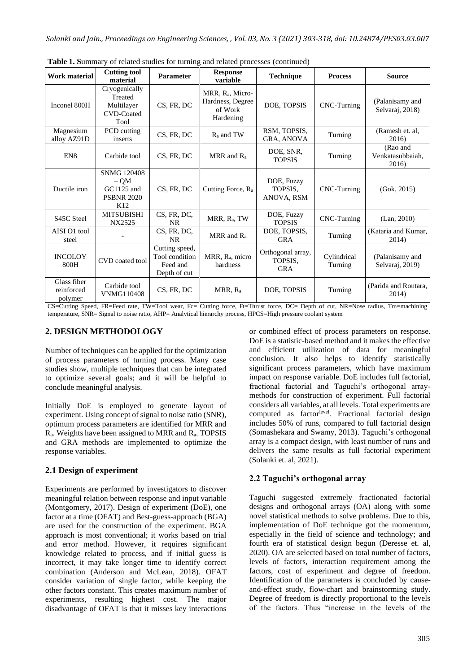| <b>Work material</b>                 | <b>Cutting tool</b><br>material                                       | Parameter                                                    | <b>Response</b><br>variable                                              | <b>Technique</b>                           | <b>Process</b>         | <b>Source</b>                         |
|--------------------------------------|-----------------------------------------------------------------------|--------------------------------------------------------------|--------------------------------------------------------------------------|--------------------------------------------|------------------------|---------------------------------------|
| Inconel 800H                         | Cryogenically<br>Treated<br>Multilayer<br><b>CVD-Coated</b><br>Tool   | CS, FR, DC                                                   | MRR, R <sub>a</sub> , Micro-<br>Hardness, Degree<br>of Work<br>Hardening | DOE, TOPSIS                                | CNC-Turning            | (Palanisamy and<br>Selvaraj, 2018)    |
| Magnesium<br>alloy AZ91D             | PCD cutting<br>inserts                                                | CS, FR, DC                                                   | $R_a$ and TW                                                             | RSM, TOPSIS,<br>GRA, ANOVA                 | Turning                | (Ramesh et. al,<br>2016)              |
| EN <sub>8</sub>                      | Carbide tool                                                          | CS, FR, DC                                                   | MRR and $R_a$                                                            | DOE, SNR,<br><b>TOPSIS</b>                 | Turning                | (Rao and<br>Venkatasubbaiah.<br>2016) |
| Ductile iron                         | <b>SNMG 120408</b><br>$-OM$<br>GC1125 and<br><b>PSBNR 2020</b><br>K12 | CS, FR, DC                                                   | Cutting Force, R <sub>a</sub>                                            | DOE, Fuzzy<br>TOPSIS.<br>ANOVA, RSM        | CNC-Turning            | (Gok, 2015)                           |
| S45C Steel                           | <b>MITSUBISHI</b><br>NX2525                                           | CS, FR, DC,<br>NR.                                           | MRR, R <sub>a</sub> , TW                                                 | DOE, Fuzzy<br><b>TOPSIS</b>                | CNC-Turning            | (Lan, 2010)                           |
| AISI O1 tool<br>steel                |                                                                       | CS, FR, DC,<br><b>NR</b>                                     | MRR and $R_a$                                                            | DOE, TOPSIS,<br><b>GRA</b>                 | Turning                | (Kataria and Kumar,<br>2014)          |
| <b>INCOLOY</b><br>800H               | CVD coated tool                                                       | Cutting speed,<br>Tool condition<br>Feed and<br>Depth of cut | MRR, R <sub>a</sub> , micro<br>hardness                                  | Orthogonal array,<br>TOPSIS.<br><b>GRA</b> | Cylindrical<br>Turning | (Palanisamy and<br>Selvaraj, 2019)    |
| Glass fiber<br>reinforced<br>polymer | Carbide tool<br><b>VNMG110408</b>                                     | CS, FR, DC                                                   | MRR, $R_a$                                                               | DOE, TOPSIS                                | Turning                | (Parida and Routara,<br>2014)         |

**Table 1. S**ummary of related studies for turning and related processes (continued)

CS=Cutting Speed, FR=Feed rate, TW=Tool wear, Fc= Cutting force, Ft=Thrust force, DC= Depth of cut, NR=Nose radius, Tm=machining temperature, SNR= Signal to noise ratio, AHP= Analytical hierarchy process, HPCS=High pressure coolant system

# **2. DESIGN METHODOLOGY**

Number of techniques can be applied for the optimization of process parameters of turning process. Many case studies show, multiple techniques that can be integrated to optimize several goals; and it will be helpful to conclude meaningful analysis.

Initially DoE is employed to generate layout of experiment. Using concept of signal to noise ratio (SNR), optimum process parameters are identified for MRR and Ra. Weights have been assigned to MRR and Ra. TOPSIS and GRA methods are implemented to optimize the response variables.

# **2.1 Design of experiment**

Experiments are performed by investigators to discover meaningful relation between response and input variable (Montgomery, 2017). Design of experiment (DoE), one factor at a time (OFAT) and Best-guess-approach (BGA) are used for the construction of the experiment. BGA approach is most conventional; it works based on trial and error method. However, it requires significant knowledge related to process, and if initial guess is incorrect, it may take longer time to identify correct combination (Anderson and McLean, 2018). OFAT consider variation of single factor, while keeping the other factors constant. This creates maximum number of experiments, resulting highest cost. The major disadvantage of OFAT is that it misses key interactions

or combined effect of process parameters on response. DoE is a statistic-based method and it makes the effective and efficient utilization of data for meaningful conclusion. It also helps to identify statistically significant process parameters, which have maximum impact on response variable. DoE includes full factorial, fractional factorial and Taguchi's orthogonal arraymethods for construction of experiment. Full factorial considers all variables, at all levels. Total experiments are computed as factor<sup>level</sup>. Fractional factorial design includes 50% of runs, compared to full factorial design (Somashekara and Swamy, 2013). Taguchi's orthogonal array is a compact design, with least number of runs and delivers the same results as full factorial experiment (Solanki et. al, 2021).

# **2.2 Taguchi's orthogonal array**

Taguchi suggested extremely fractionated factorial designs and orthogonal arrays (OA) along with some novel statistical methods to solve problems. Due to this, implementation of DoE technique got the momentum, especially in the field of science and technology; and fourth era of statistical design begun (Deresse et. al, 2020). OA are selected based on total number of factors, levels of factors, interaction requirement among the factors, cost of experiment and degree of freedom. Identification of the parameters is concluded by causeand-effect study, flow-chart and brainstorming study. Degree of freedom is directly proportional to the levels of the factors. Thus "increase in the levels of the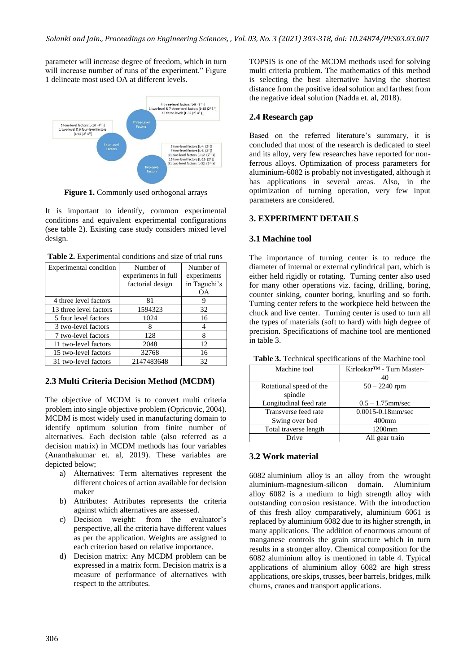parameter will increase degree of freedom, which in turn will increase number of runs of the experiment." Figure 1 delineate most used OA at different levels.



**Figure 1.** Commonly used orthogonal arrays

It is important to identify, common experimental conditions and equivalent experimental configurations (see table 2). Existing case study considers mixed level design.

| Table 2. Experimental conditions and size of trial runs |  |
|---------------------------------------------------------|--|
|---------------------------------------------------------|--|

| <b>Experimental condition</b> | Number of           | Number of    |
|-------------------------------|---------------------|--------------|
|                               | experiments in full | experiments  |
|                               | factorial design    | in Taguchi's |
|                               |                     | OΑ           |
| 4 three level factors         | 81                  |              |
| 13 three level factors        | 1594323             | 32           |
| 5 four level factors          | 1024                | 16           |
| 3 two-level factors           | x                   |              |
| 7 two-level factors           | 128                 | 8            |
| 11 two-level factors          | 2048                | 12           |
| 15 two-level factors          | 32768               | 16           |
| 31 two-level factors          | 2147483648          | 32           |

#### **2.3 Multi Criteria Decision Method (MCDM)**

The objective of MCDM is to convert multi criteria problem into single objective problem (Opricovic, 2004). MCDM is most widely used in manufacturing domain to identify optimum solution from finite number of alternatives. Each decision table (also referred as a decision matrix) in MCDM methods has four variables (Ananthakumar et. al, 2019). These variables are depicted below;

- a) Alternatives: Term alternatives represent the different choices of action available for decision maker
- b) Attributes: Attributes represents the criteria against which alternatives are assessed.
- c) Decision weight: from the evaluator's perspective, all the criteria have different values as per the application. Weights are assigned to each criterion based on relative importance.
- d) Decision matrix: Any MCDM problem can be expressed in a matrix form. Decision matrix is a measure of performance of alternatives with respect to the attributes.

TOPSIS is one of the MCDM methods used for solving multi criteria problem. The mathematics of this method is selecting the best alternative having the shortest distance from the positive ideal solution and farthest from the negative ideal solution (Nadda et. al, 2018).

## **2.4 Research gap**

Based on the referred literature's summary, it is concluded that most of the research is dedicated to steel and its alloy, very few researches have reported for nonferrous alloys. Optimization of process parameters for aluminium-6082 is probably not investigated, although it has applications in several areas. Also, in the optimization of turning operation, very few input parameters are considered.

## **3. EXPERIMENT DETAILS**

# **3.1 Machine tool**

The importance of turning center is to reduce the diameter of internal or external cylindrical part, which is either held rigidly or rotating. Turning center also used for many other operations viz. facing, drilling, boring, counter sinking, counter boring, knurling and so forth. Turning center refers to the workpiece held between the chuck and live center. Turning center is used to turn all the types of materials (soft to hard) with high degree of precision. Specifications of machine tool are mentioned in table 3.

| Machine tool            | Kirloskar <sup>™</sup> - Turn Master- |
|-------------------------|---------------------------------------|
|                         | 40                                    |
| Rotational speed of the | $50 - 2240$ rpm                       |
| spindle                 |                                       |
| Longitudinal feed rate  | $0.5 - 1.75$ mm/sec                   |
| Transverse feed rate    | $0.0015 - 0.18$ mm/sec                |
| Swing over bed          | $400$ mm                              |
| Total traverse length   | 1200mm                                |
| Drive                   | All gear train                        |

**Table 3.** Technical specifications of the Machine tool

#### **3.2 Work material**

6082 aluminium alloy is an alloy from the wrought aluminium-magnesium-silicon domain. Aluminium alloy 6082 is a medium to high strength alloy with outstanding corrosion resistance. With the introduction of this fresh alloy comparatively, aluminium 6061 is replaced by aluminium 6082 due to its higher strength, in many applications. The addition of enormous amount of manganese controls the grain structure which in turn results in a stronger alloy. Chemical composition for the 6082 aluminium alloy is mentioned in table 4. Typical applications of aluminium alloy 6082 are high stress applications, ore skips, trusses, beer barrels, bridges, milk churns, cranes and transport applications.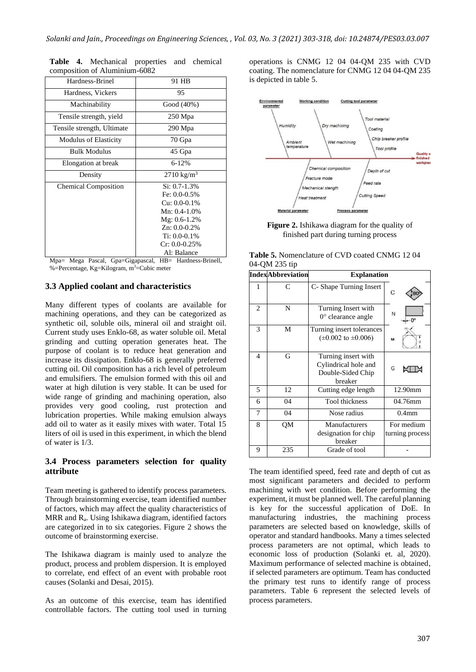| Hardness-Brinel              | 91 HB                                                                                                                                                                      |
|------------------------------|----------------------------------------------------------------------------------------------------------------------------------------------------------------------------|
| Hardness, Vickers            | 95                                                                                                                                                                         |
| Machinability                | Good (40%)                                                                                                                                                                 |
| Tensile strength, yield      | 250 Mpa                                                                                                                                                                    |
| Tensile strength, Ultimate   | 290 Mpa                                                                                                                                                                    |
| <b>Modulus of Elasticity</b> | 70 Gpa                                                                                                                                                                     |
| <b>Bulk Modulus</b>          | 45 Gpa                                                                                                                                                                     |
| Elongation at break          | $6 - 12%$                                                                                                                                                                  |
| Density                      | $2710 \text{ kg/m}^3$                                                                                                                                                      |
| <b>Chemical Composition</b>  | $Si: 0.7-1.3%$<br>Fe: $0.0 - 0.5\%$<br>$Cu: 0.0 - 0.1\%$<br>Mn: $0.4-1.0\%$<br>$Mg: 0.6-1.2\%$<br>$Zn: 0.0-0.2%$<br>Ti: $0.0 - 0.1\%$<br>$Cr: 0.0 - 0.25\%$<br>Al: Balance |

**Table 4.** Mechanical properties and chemical composition of Aluminium-6082

Mpa= Mega Pascal, Gpa=Gigapascal, HB= Hardness-Brinell, %=Percentage, Kg=Kilogram, m<sup>3</sup>=Cubic meter

## **3.3 Applied coolant and characteristics**

Many different types of coolants are available for machining operations, and they can be categorized as synthetic oil, soluble oils, mineral oil and straight oil. Current study uses Enklo-68, as water soluble oil. Metal grinding and cutting operation generates heat. The purpose of coolant is to reduce heat generation and increase its dissipation. Enklo-68 is generally preferred cutting oil. Oil composition has a rich level of petroleum and emulsifiers. The emulsion formed with this oil and water at high dilution is very stable. It can be used for wide range of grinding and machining operation, also provides very good cooling, rust protection and lubrication properties. While making emulsion always add oil to water as it easily mixes with water. Total 15 liters of oil is used in this experiment, in which the blend of water is 1/3.

## **3.4 Process parameters selection for quality attribute**

Team meeting is gathered to identify process parameters. Through brainstorming exercise, team identified number of factors, which may affect the quality characteristics of MRR and Ra. Using Ishikawa diagram, identified factors are categorized in to six categories. Figure 2 shows the outcome of brainstorming exercise.

The Ishikawa diagram is mainly used to analyze the product, process and problem dispersion. It is employed to correlate, end effect of an event with probable root causes (Solanki and Desai, 2015).

As an outcome of this exercise, team has identified controllable factors. The cutting tool used in turning operations is CNMG 12 04 04-QM 235 with CVD coating. The nomenclature for CNMG 12 04 04-QM 235 is depicted in table 5.



**Figure 2.** Ishikawa diagram for the quality of finished part during turning process

| <b>Table 5.</b> Nomenclature of CVD coated CNMG 1204 |  |
|------------------------------------------------------|--|
| 04-QM 235 tip                                        |  |

|                | <b>IndexAbbreviation</b> | <b>Explanation</b>                                                          |                               |
|----------------|--------------------------|-----------------------------------------------------------------------------|-------------------------------|
|                | $\subset$                | C- Shape Turning Insert                                                     | C                             |
| $\mathfrak{D}$ | N                        | Turning Insert with<br>$0^{\circ}$ clearance angle                          | N<br>$-0^\circ$               |
| 3              | M                        | Turning insert tolerances<br>$(\pm 0.002 \text{ to } \pm 0.006)$            | M                             |
| 4              | G                        | Turning insert with<br>Cylindrical hole and<br>Double-Sided Chip<br>breaker | G                             |
| 5              | 12                       | Cutting edge length                                                         | 12.90mm                       |
| 6              | 04                       | <b>Tool</b> thickness                                                       | 04.76mm                       |
| 7              | 04                       | Nose radius                                                                 | 0.4 <sub>mm</sub>             |
| 8              | QM                       | Manufacturers<br>designation for chip<br>breaker                            | For medium<br>turning process |
| 9              | 235                      | Grade of tool                                                               |                               |

The team identified speed, feed rate and depth of cut as most significant parameters and decided to perform machining with wet condition. Before performing the experiment, it must be planned well. The careful planning is key for the successful application of DoE. In manufacturing industries, the machining process parameters are selected based on knowledge, skills of operator and standard handbooks. Many a times selected process parameters are not optimal, which leads to economic loss of production (Solanki et. al, 2020). Maximum performance of selected machine is obtained, if selected parameters are optimum. Team has conducted the primary test runs to identify range of process parameters. Table 6 represent the selected levels of process parameters.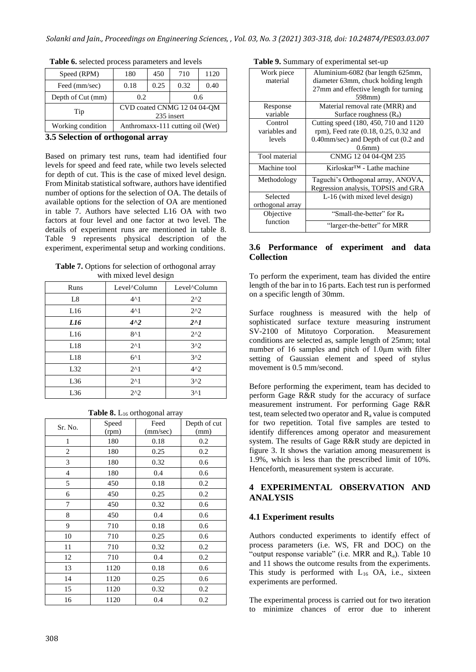| Speed (RPM)       | 180<br>450                                |      | 710  | 1120 |
|-------------------|-------------------------------------------|------|------|------|
| Feed (mm/sec)     | 0.18                                      | 0.25 | 0.32 | 0.40 |
| Depth of Cut (mm) | 0.2                                       |      |      | 0.6  |
| Tip               | CVD coated CNMG 12 04 04-QM<br>235 insert |      |      |      |
| Working condition | Anthromaxx-111 cutting oil (Wet)          |      |      |      |

**Table 6.** selected process parameters and levels

#### **3.5 Selection of orthogonal array**

Based on primary test runs, team had identified four levels for speed and feed rate, while two levels selected for depth of cut. This is the case of mixed level design. From Minitab statistical software, authors have identified number of options for the selection of OA. The details of available options for the selection of OA are mentioned in table 7. Authors have selected L16 OA with two factors at four level and one factor at two level. The details of experiment runs are mentioned in table 8. Table 9 represents physical description of the experiment, experimental setup and working conditions.

**Table 7.** Options for selection of orthogonal array with mixed level design

| Runs | Level <sup>^</sup> Column | Level <sup>^</sup> Column |
|------|---------------------------|---------------------------|
| L8   | $4^{\wedge}1$             | $2^{\wedge}2$             |
| L16  | $4^{\wedge}1$             | $2^{\wedge}2$             |
| L16  | $4^{\wedge}2$             | $2^{\wedge}1$             |
| L16  | $8^{\wedge}1$             | $2^{\wedge}2$             |
| L18  | $2^{\wedge}1$             | 3 <sup>2</sup>            |
| L18  | $6^{\wedge}1$             | 3 <sup>2</sup>            |
| L32  | $2^{\wedge}1$             | $4^2$                     |
| L36  | $2^{\wedge}1$             | 3 <sup>2</sup>            |
| L36  | $2^{\wedge}2$             | 3 <sup>1</sup>            |

Sr. No. Speed (rpm) Feed (mm/sec) Depth of cut (mm) 1 180 0.18 0.2 2 | 180 | 0.25 | 0.2 3 180 0.32 0.6 4 180 0.4 0.6 5 450 0.18 0.2 6 450 0.25 0.2 7 450 0.32 0.6 8 450 0.4 0.6 9 710 0.18 0.6 10 | 710 | 0.25 | 0.6 11 | 710 | 0.32 | 0.2 12 | 710 | 0.4 | 0.2 13 | 1120 | 0.18 | 0.6

14 | 1120 | 0.25 | 0.6 15 | 1120 | 0.32 | 0.2 16 | 1120 | 0.4 | 0.2

**Table 8.** L<sub>16</sub> orthogonal array

| Table 9. Summary of experimental set-up |  |  |  |
|-----------------------------------------|--|--|--|
|-----------------------------------------|--|--|--|

| Work piece       | Aluminium-6082 (bar length 625mm,      |
|------------------|----------------------------------------|
| material         | diameter 63mm, chuck holding length    |
|                  | 27mm and effective length for turning  |
|                  | 598mm)                                 |
| Response         | Material removal rate (MRR) and        |
| variable         | Surface roughness $(R_a)$              |
| Control          | Cutting speed (180, 450, 710 and 1120) |
| variables and    | rpm), Feed rate (0.18, 0.25, 0.32 and  |
| levels           | 0.40mm/sec) and Depth of cut (0.2 and  |
|                  | $0.6$ mm $)$                           |
| Tool material    | CNMG 12 04 04-OM 235                   |
| Machine tool     | $Kirloskar^{TM}$ - Lathe machine       |
| Methodology      | Taguchi's Orthogonal array, ANOVA,     |
|                  | Regression analysis, TOPSIS and GRA    |
| Selected         | L-16 (with mixed level design)         |
| orthogonal array |                                        |
| Objective        | "Small-the-better" for R <sub>a</sub>  |
| function         | "larger-the-better" for MRR            |

## **3.6 Performance of experiment and data Collection**

To perform the experiment, team has divided the entire length of the bar in to 16 parts. Each test run is performed on a specific length of 30mm.

Surface roughness is measured with the help of sophisticated surface texture measuring instrument SV-2100 of Mitutoyo Corporation. Measurement conditions are selected as, sample length of 25mm; total number of 16 samples and pitch of 1.0µm with filter setting of Gaussian element and speed of stylus movement is 0.5 mm/second.

Before performing the experiment, team has decided to perform Gage R&R study for the accuracy of surface measurement instrument. For performing Gage R&R test, team selected two operator and R<sup>a</sup> value is computed for two repetition. Total five samples are tested to identify differences among operator and measurement system. The results of Gage R&R study are depicted in figure 3. It shows the variation among measurement is 1.9%, which is less than the prescribed limit of 10%. Henceforth, measurement system is accurate.

# **4 EXPERIMENTAL OBSERVATION AND ANALYSIS**

# **4.1 Experiment results**

Authors conducted experiments to identify effect of process parameters (i.e. WS, FR and DOC) on the "output response variable" (i.e. MRR and  $R_a$ ). Table 10 and 11 shows the outcome results from the experiments. This study is performed with  $L_{16}$  OA, i.e., sixteen experiments are performed.

The experimental process is carried out for two iteration to minimize chances of error due to inherent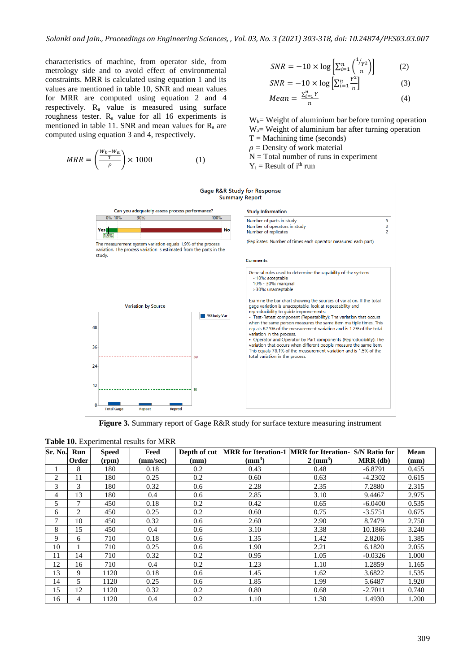characteristics of machine, from operator side, from metrology side and to avoid effect of environmental constraints. MRR is calculated using equation 1 and its values are mentioned in table 10, SNR and mean values for MRR are computed using equation 2 and 4 respectively. R<sup>a</sup> value is measured using surface roughness tester.  $R_a$  value for all 16 experiments is mentioned in table 11. SNR and mean values for  $R_a$  are computed using equation 3 and 4, respectively.

$$
MRR = \left(\frac{\frac{W_b - W_a}{T}}{\rho}\right) \times 1000\tag{1}
$$

$$
SNR = -10 \times \log \left[ \sum_{i=1}^{n} \left( \frac{1/\gamma_2}{n} \right) \right] \tag{2}
$$

$$
SNR = -10 \times \log \left[ \sum_{i=1}^{n} \frac{Y^2}{n} \right] \tag{3}
$$

$$
Mean = \frac{\sum_{i=1}^{n} Y}{n} \tag{4}
$$

 $W_b$  = Weight of aluminium bar before turning operation  $W_a$ = Weight of aluminium bar after turning operation  $T =$ Machining time (seconds)  $\rho$  = Density of work material

- 
- $N = Total number of runs in experiment$
- $Y_i$  = Result of i<sup>th</sup> run



**Figure 3.** Summary report of Gage R&R study for surface texture measuring instrument

|  | Table 10. Experimental results for MRR |  |  |  |
|--|----------------------------------------|--|--|--|
|--|----------------------------------------|--|--|--|

| Sr. No. | Run   | <b>Speed</b> | Feed     |      | Depth of cut   MRR for Iteration-1   MRR for Iteration- S/N Ratio for |                    |            | <b>Mean</b> |
|---------|-------|--------------|----------|------|-----------------------------------------------------------------------|--------------------|------------|-------------|
|         | Order | (rpm)        | (mm/sec) | (mm) | $\text{m}^3$                                                          | $2 \text{ (mm}^3)$ | $MRR$ (db) | (mm)        |
|         | 8     | 180          | 0.18     | 0.2  | 0.43                                                                  | 0.48               | $-6.8791$  | 0.455       |
| 2       | 11    | 180          | 0.25     | 0.2  | 0.60                                                                  | 0.63               | $-4.2302$  | 0.615       |
| 3       | 3     | 180          | 0.32     | 0.6  | 2.28                                                                  | 2.35               | 7.2880     | 2.315       |
| 4       | 13    | 180          | 0.4      | 0.6  | 2.85                                                                  | 3.10               | 9.4467     | 2.975       |
| 5       | 7     | 450          | 0.18     | 0.2  | 0.42                                                                  | 0.65               | $-6.0400$  | 0.535       |
| 6       | 2     | 450          | 0.25     | 0.2  | 0.60                                                                  | 0.75               | $-3.5751$  | 0.675       |
| 7       | 10    | 450          | 0.32     | 0.6  | 2.60                                                                  | 2.90               | 8.7479     | 2.750       |
| 8       | 15    | 450          | 0.4      | 0.6  | 3.10                                                                  | 3.38               | 10.1866    | 3.240       |
| 9       | 6     | 710          | 0.18     | 0.6  | 1.35                                                                  | 1.42               | 2.8206     | 1.385       |
| 10      |       | 710          | 0.25     | 0.6  | 1.90                                                                  | 2.21               | 6.1820     | 2.055       |
| 11      | 14    | 710          | 0.32     | 0.2  | 0.95                                                                  | 1.05               | $-0.0326$  | 1.000       |
| 12      | 16    | 710          | 0.4      | 0.2  | 1.23                                                                  | 1.10               | 1.2859     | 1.165       |
| 13      | 9     | 1120         | 0.18     | 0.6  | 1.45                                                                  | 1.62               | 3.6822     | 1.535       |
| 14      | 5     | 1120         | 0.25     | 0.6  | 1.85                                                                  | 1.99               | 5.6487     | 1.920       |
| 15      | 12    | 1120         | 0.32     | 0.2  | 0.80                                                                  | 0.68               | $-2.7011$  | 0.740       |
| 16      | 4     | 1120         | 0.4      | 0.2  | 1.10                                                                  | 1.30               | 1.4930     | 1.200       |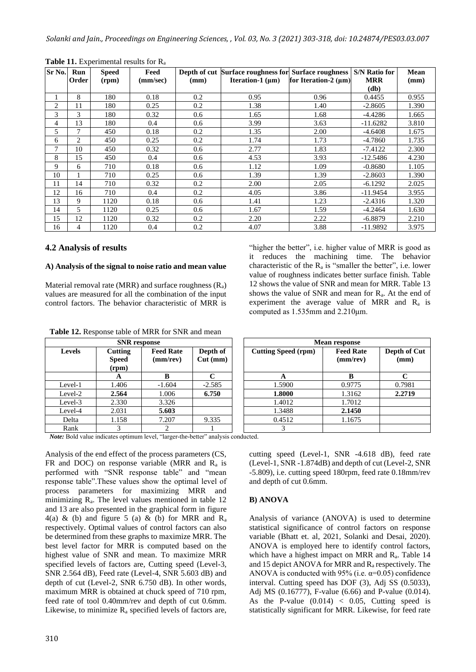| Sr No. | Run   | <b>Speed</b> | Feed     |      | Depth of cut Surface roughness for Surface roughness |                           | <b>S/N Ratio for</b> | <b>Mean</b> |
|--------|-------|--------------|----------|------|------------------------------------------------------|---------------------------|----------------------|-------------|
|        | Order | (rpm)        | (mm/sec) | (mm) | <b>Iteration-1</b> ( $\mu$ m)                        | for Iteration-2 $(\mu m)$ | <b>MRR</b>           | (mm)        |
|        |       |              |          |      |                                                      |                           | (d <b>b</b> )        |             |
| 1      | 8     | 180          | 0.18     | 0.2  | 0.95                                                 | 0.96                      | 0.4455               | 0.955       |
| 2      | 11    | 180          | 0.25     | 0.2  | 1.38                                                 | 1.40                      | $-2.8605$            | 1.390       |
| 3      | 3     | 180          | 0.32     | 0.6  | 1.65                                                 | 1.68                      | $-4.4286$            | 1.665       |
| 4      | 13    | 180          | 0.4      | 0.6  | 3.99                                                 | 3.63                      | $-11.6282$           | 3.810       |
| 5      | 7     | 450          | 0.18     | 0.2  | 1.35                                                 | 2.00                      | $-4.6408$            | 1.675       |
| 6      | 2     | 450          | 0.25     | 0.2  | 1.74                                                 | 1.73                      | $-4.7860$            | 1.735       |
| 7      | 10    | 450          | 0.32     | 0.6  | 2.77                                                 | 1.83                      | $-7.4122$            | 2.300       |
| 8      | 15    | 450          | 0.4      | 0.6  | 4.53                                                 | 3.93                      | $-12.5486$           | 4.230       |
| 9      | 6     | 710          | 0.18     | 0.6  | 1.12                                                 | 1.09                      | $-0.8680$            | 1.105       |
| 10     |       | 710          | 0.25     | 0.6  | 1.39                                                 | 1.39                      | $-2.8603$            | 1.390       |
| 11     | 14    | 710          | 0.32     | 0.2  | 2.00                                                 | 2.05                      | $-6.1292$            | 2.025       |
| 12     | 16    | 710          | 0.4      | 0.2  | 4.05                                                 | 3.86                      | $-11.9454$           | 3.955       |
| 13     | 9     | 1120         | 0.18     | 0.6  | 1.41                                                 | 1.23                      | $-2.4316$            | 1.320       |
| 14     | 5     | 1120         | 0.25     | 0.6  | 1.67                                                 | 1.59                      | $-4.2464$            | 1.630       |
| 15     | 12    | 1120         | 0.32     | 0.2  | 2.20                                                 | 2.22                      | $-6.8879$            | 2.210       |
| 16     | 4     | 1120         | 0.4      | 0.2  | 4.07                                                 | 3.88                      | $-11.9892$           | 3.975       |

**Table 11.** Experimental results for R<sup>a</sup>

#### **4.2 Analysis of results**

#### **A) Analysis of the signal to noise ratio and mean value**

Material removal rate (MRR) and surface roughness  $(R_a)$ values are measured for all the combination of the input control factors. The behavior characteristic of MRR is "higher the better", i.e. higher value of MRR is good as it reduces the machining time. The behavior characteristic of the  $R_a$  is "smaller the better", i.e. lower value of roughness indicates better surface finish. Table 12 shows the value of SNR and mean for MRR. Table 13 shows the value of SNR and mean for  $R_a$ . At the end of experiment the average value of MRR and  $R_a$  is computed as 1.535mm and 2.210μm.

|               | <b>SNR</b> response              |                                    |                        |                            | <b>Mean response</b>               |                      |
|---------------|----------------------------------|------------------------------------|------------------------|----------------------------|------------------------------------|----------------------|
| <b>Levels</b> | Cutting<br><b>Speed</b><br>(rpm) | <b>Feed Rate</b><br>$(mm$ /rev $)$ | Depth of<br>$Cut$ (mm) | <b>Cutting Speed (rpm)</b> | <b>Feed Rate</b><br>$(mm$ /rev $)$ | Depth of Cut<br>(mm) |
|               | A                                |                                    | $\mathbf{C}$           | A                          | B                                  |                      |
| Level-1       | 1.406                            | $-1.604$                           | $-2.585$               | 1.5900                     | 0.9775                             | 0.7981               |
| Level-2       | 2.564                            | 1.006                              | 6.750                  | 1.8000                     | 1.3162                             | 2.2719               |
| Level-3       | 2.330                            | 3.326                              |                        | 1.4012                     | 1.7012                             |                      |
| Level-4       | 2.031                            | 5.603                              |                        | 1.3488                     | 2.1450                             |                      |
| Delta         | 1.158                            | 7.207                              | 9.335                  | 0.4512                     | 1.1675                             |                      |
| Rank          |                                  |                                    |                        |                            |                                    |                      |

**Table 12.** Response table of MRR for SNR and mean **SNR** response

*Note:* Bold value indicates optimum level, "larger-the-better" analysis conducted.

Analysis of the end effect of the process parameters (CS, FR and DOC) on response variable (MRR and  $R_a$  is performed with "SNR response table" and "mean response table".These values show the optimal level of process parameters for maximizing MRR and minimizing Ra. The level values mentioned in table 12 and 13 are also presented in the graphical form in figure 4(a) & (b) and figure 5 (a) & (b) for MRR and  $R_a$ respectively. Optimal values of control factors can also be determined from these graphs to maximize MRR. The best level factor for MRR is computed based on the highest value of SNR and mean. To maximize MRR specified levels of factors are, Cutting speed (Level-3, SNR 2.564 dB), Feed rate (Level-4, SNR 5.603 dB) and depth of cut (Level-2, SNR 6.750 dB). In other words, maximum MRR is obtained at chuck speed of 710 rpm, feed rate of tool 0.40mm/rev and depth of cut 0.6mm. Likewise, to minimize  $R_a$  specified levels of factors are, cutting speed (Level-1, SNR -4.618 dB), feed rate (Level-1, SNR -1.874dB) and depth of cut (Level-2, SNR -5.809), i.e. cutting speed 180rpm, feed rate 0.18mm/rev and depth of cut 0.6mm.

#### **B) ANOVA**

Analysis of variance (ANOVA) is used to determine statistical significance of control factors on response variable (Bhatt et. al, 2021, Solanki and Desai, 2020). ANOVA is employed here to identify control factors, which have a highest impact on MRR and  $R_a$ . Table 14 and 15 depict ANOVA for MRR and  $R_a$  respectively. The ANOVA is conducted with 95% (i.e.  $\alpha$ =0.05) confidence interval. Cutting speed has DOF (3), Adj SS (0.5033), Adj MS (0.16777), F-value (6.66) and P-value (0.014). As the P-value  $(0.014) < 0.05$ , Cutting speed is statistically significant for MRR. Likewise, for feed rate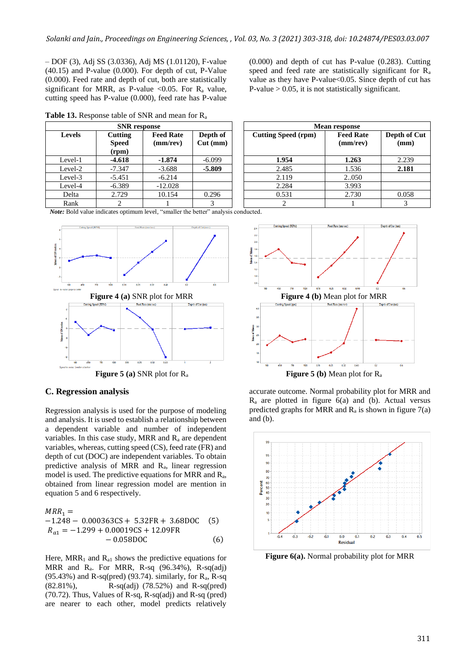– DOF (3), Adj SS (3.0336), Adj MS (1.01120), F-value (40.15) and P-value (0.000). For depth of cut, P-Value (0.000). Feed rate and depth of cut, both are statistically significant for MRR, as P-value <0.05. For  $R_a$  value, cutting speed has P-value (0.000), feed rate has P-value

**Table 13.** Response table of SNR and mean for R<sup>a</sup>

|               | <b>SNR</b> response                     |                              |                        |                            | <b>Mean response</b>               |                  |
|---------------|-----------------------------------------|------------------------------|------------------------|----------------------------|------------------------------------|------------------|
| <b>Levels</b> | <b>Cutting</b><br><b>Speed</b><br>(rpm) | <b>Feed Rate</b><br>(mm/rev) | Depth of<br>$Cut$ (mm) | <b>Cutting Speed (rpm)</b> | <b>Feed Rate</b><br>$(mm$ /rev $)$ | Depth of<br>(mm) |
| Level-1       | $-4.618$                                | $-1.874$                     | $-6.099$               | 1.954                      | 1.263                              | 2.239            |
| Level-2       | $-7.347$                                | $-3.688$                     | $-5.809$               | 2.485                      | 1.536                              | 2.181            |
| Level-3       | $-5.451$                                | $-6.214$                     |                        | 2.119                      | 2.050                              |                  |
| Level-4       | $-6.389$                                | $-12.028$                    |                        | 2.284                      | 3.993                              |                  |
| Delta         | 2.729                                   | 10.154                       | 0.296                  | 0.531                      | 2.730                              | 0.058            |
| Rank          |                                         |                              |                        |                            |                                    | 3                |

(0.000) and depth of cut has P-value (0.283). Cutting speed and feed rate are statistically significant for R<sup>a</sup> value as they have P-value<0.05. Since depth of cut has P-value  $> 0.05$ , it is not statistically significant.

|               | <b>SNR</b> response              |                              |                        |                            | <b>Mean response</b>               |                      |
|---------------|----------------------------------|------------------------------|------------------------|----------------------------|------------------------------------|----------------------|
| <b>Levels</b> | Cutting<br><b>Speed</b><br>(rpm) | <b>Feed Rate</b><br>(mm/rev) | Depth of<br>$Cut$ (mm) | <b>Cutting Speed (rpm)</b> | <b>Feed Rate</b><br>$(mm$ /rev $)$ | Depth of Cut<br>(mm) |
| evel-1        | $-4.618$                         | $-1.874$                     | $-6.099$               | 1.954                      | 1.263                              | 2.239                |
| evel-2        | $-7.347$                         | $-3.688$                     | $-5.809$               | 2.485                      | 1.536                              | 2.181                |
| evel-3        | $-5.451$                         | $-6.214$                     |                        | 2.119                      | 2.050                              |                      |
| evel-4        | $-6.389$                         | $-12.028$                    |                        | 2.284                      | 3.993                              |                      |
| Delta         | 2.729                            | 10.154                       | 0.296                  | 0.531                      | 2.730                              | 0.058                |
| Rank          |                                  |                              | 3                      |                            |                                    |                      |

*Note:* Bold value indicates optimum level, "smaller the better" analysis conducted.



#### **C. Regression analysis**

Regression analysis is used for the purpose of modeling and analysis. It is used to establish a relationship between a dependent variable and number of independent variables. In this case study, MRR and  $R_a$  are dependent variables, whereas, cutting speed (CS), feed rate (FR) and depth of cut (DOC) are independent variables. To obtain predictive analysis of MRR and Ra, linear regression model is used. The predictive equations for MRR and  $R_a$ , obtained from linear regression model are mention in equation 5 and 6 respectively.

$$
MRR_1 = -1.248 - 0.000363CS + 5.32FR + 3.68DOC
$$
 (5)  

$$
R_{a1} = -1.299 + 0.00019CS + 12.09FR
$$
  
- 0.058DOC (6)

Here,  $MRR_1$  and  $R_{a1}$  shows the predictive equations for MRR and  $R_a$ . For MRR, R-sq  $(96.34\%)$ , R-sq $\overline{(adj)}$ (95.43%) and R-sq(pred) (93.74). similarly, for  $R_a$ , R-sq (82.81%), R-sq(adj) (78.52%) and R-sq(pred) (70.72). Thus, Values of R-sq, R-sq(adj) and R-sq (pred) are nearer to each other, model predicts relatively



accurate outcome. Normal probability plot for MRR and  $R_a$  are plotted in figure 6(a) and (b). Actual versus predicted graphs for MRR and  $R_a$  is shown in figure 7(a) and (b).



**Figure 6(a).** Normal probability plot for MRR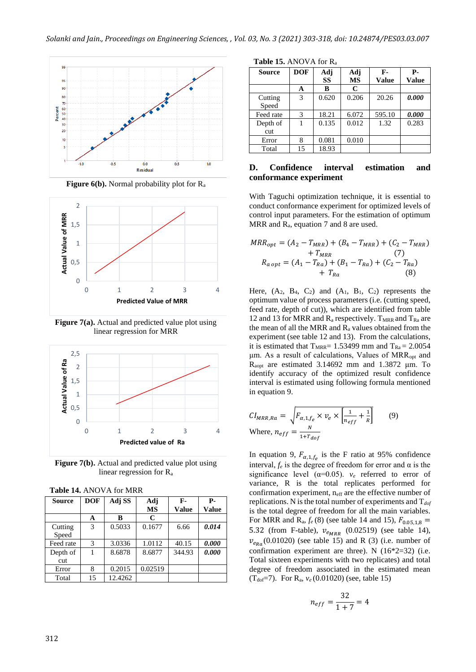

**Figure 6(b).** Normal probability plot for R<sub>a</sub>



**Figure 7(a).** Actual and predicted value plot using linear regression for MRR



**Figure 7(b).** Actual and predicted value plot using linear regression for R<sup>a</sup>

| <b>Fable 14.</b> ABOV A TOL WINN |               |         |                  |                      |                            |  |  |  |
|----------------------------------|---------------|---------|------------------|----------------------|----------------------------|--|--|--|
| Source                           | <b>DOF</b>    | Adj SS  | Adj<br><b>MS</b> | $F-$<br><b>Value</b> | <b>P</b> -<br><b>Value</b> |  |  |  |
|                                  | A             | B       | C                |                      |                            |  |  |  |
| Cutting<br>Speed                 | 3             | 0.5033  | 0.1677           | 6.66                 | 0.014                      |  |  |  |
| Feed rate                        | $\mathcal{R}$ | 3.0336  | 1.0112           | 40.15                | 0.000                      |  |  |  |
| Depth of<br>cut                  |               | 8.6878  | 8.6877           | 344.93               | 0.000                      |  |  |  |
| Error                            | 8             | 0.2015  | 0.02519          |                      |                            |  |  |  |
| Total                            | 15            | 12.4262 |                  |                      |                            |  |  |  |

|  | <b>Table 14.</b> ANOVA for MRR |  |
|--|--------------------------------|--|
|--|--------------------------------|--|

| Source           | <b>DOF</b> | Adj   | Adj       | $F-$         | <b>P.</b> |
|------------------|------------|-------|-----------|--------------|-----------|
|                  |            | SS    | <b>MS</b> | <b>Value</b> | Value     |
|                  | A          | в     | C         |              |           |
| Cutting<br>Speed | 3          | 0.620 | 0.206     | 20.26        | 0.000     |
| Feed rate        | 3          | 18.21 | 6.072     | 595.10       | 0.000     |
| Depth of         |            | 0.135 | 0.012     | 1.32         | 0.283     |
| cut              |            |       |           |              |           |
| Error            | 8          | 0.081 | 0.010     |              |           |

**Table 15.** ANOVA for R<sup>a</sup>

Total 15 18.93

#### **D. Confidence interval estimation and conformance experiment**

With Taguchi optimization technique, it is essential to conduct conformance experiment for optimized levels of control input parameters. For the estimation of optimum MRR and R<sub>a</sub>, equation 7 and 8 are used.

$$
MRR_{opt} = (A_2 - T_{MRR}) + (B_4 - T_{MRR}) + (C_2 - T_{MRR})
$$
  
+  $T_{MRR}$   
(7)  

$$
R_{a opt} = (A_1 - T_{Ra}) + (B_1 - T_{Ra}) + (C_2 - T_{Ra})
$$
  
+  $T_{Ra}$   
(8)

Here,  $(A_2, B_4, C_2)$  and  $(A_1, B_1, C_2)$  represents the optimum value of process parameters (i.e. (cutting speed, feed rate, depth of cut)), which are identified from table 12 and 13 for MRR and  $R_a$  respectively.  $T_{MRR}$  and  $T_{Ra}$  are the mean of all the MRR and  $R_a$  values obtained from the experiment (see table 12 and 13). From the calculations, it is estimated that  $T_{MRR}$ = 1.53499 mm and  $T_{Ra}$  = 2.0054 μm. As a result of calculations, Values of MRRopt and Raopt are estimated 3.14692 mm and 1.3872 μm. To identify accuracy of the optimized result confidence interval is estimated using following formula mentioned in equation 9.

$$
CI_{MRR,Ra} = \sqrt{F_{\alpha,1,f_e} \times v_e \times \left[\frac{1}{n_{eff}} + \frac{1}{R}\right]}
$$
(9)  
Where,  $n_{eff} = \frac{N}{1 + T_{dof}}$ 

In equation 9,  $F_{\alpha,1,f_e}$  is the F ratio at 95% confidence interval,  $f_e$  is the degree of freedom for error and  $\alpha$  is the significance level ( $\alpha$ =0.05).  $v_e$  referred to error of variance, R is the total replicates performed for confirmation experiment,  $n_{\text{eff}}$  are the effective number of replications. N is the total number of experiments and  $T_{dof}$ is the total degree of freedom for all the main variables. For MRR and R<sub>a</sub>,  $f_e$  (8) (see table 14 and 15),  $F_{0.05,1,8}$  = 5.32 (from F-table),  $v_{e_{MRR}}$  (0.02519) (see table 14),  $v_{e_{Rg}}$ (0.01020) (see table 15) and R (3) (i.e. number of confirmation experiment are three). N  $(16*2=32)$  (i.e. Total sixteen experiments with two replicates) and total degree of freedom associated in the estimated mean (Tdof=7). For Ra, *v<sup>e</sup>* (0.01020) (see, table 15)

$$
n_{eff} = \frac{32}{1+7} = 4
$$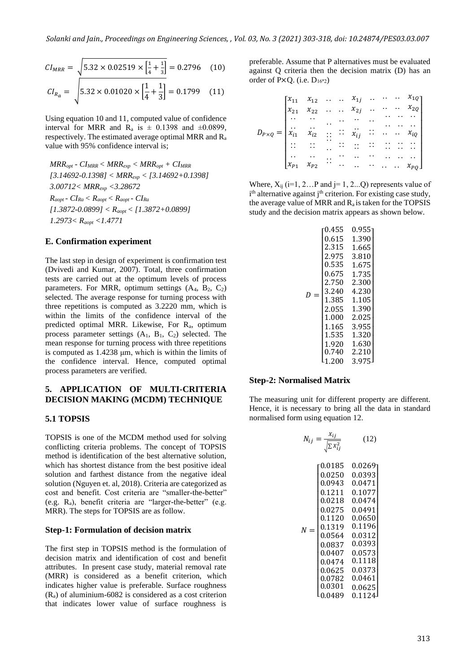$$
CI_{MRR} = \sqrt{5.32 \times 0.02519 \times \left[\frac{1}{4} + \frac{1}{3}\right]} = 0.2796 \quad (10)
$$

$$
CI_{R_a} = \sqrt{5.32 \times 0.01020 \times \left[\frac{1}{4} + \frac{1}{3}\right]} = 0.1799 \quad (11)
$$

Using equation 10 and 11, computed value of confidence interval for MRR and  $R_a$  is  $\pm$  0.1398 and  $\pm$ 0.0899, respectively. The estimated average optimal MRR and R<sup>a</sup> value with 95% confidence interval is;

$$
MRR_{opt} - CI_{MRR} < MRR_{exp} < MRR_{opt} + CI_{MRR}
$$
\n
$$
[3.14692-0.1398] < MRR_{exp} < [3.14692+0.1398]
$$
\n
$$
3.00712 < MRR_{exp} < 3.28672
$$
\n
$$
R_{app1} - CI_{Ra} < R_{app1} < R_{app1} - CI_{Ra}
$$
\n
$$
[1.3872-0.0899] < R_{app1} < [1.3872+0.0899]
$$
\n
$$
1.2973 < R_{app1} < 1.4771
$$

#### **E. Confirmation experiment**

The last step in design of experiment is confirmation test (Dvivedi and Kumar, 2007). Total, three confirmation tests are carried out at the optimum levels of process parameters. For MRR, optimum settings  $(A_4, B_2, C_2)$ selected. The average response for turning process with three repetitions is computed as 3.2220 mm, which is within the limits of the confidence interval of the predicted optimal MRR. Likewise, For Ra, optimum process parameter settings  $(A_1, B_1, C_2)$  selected. The mean response for turning process with three repetitions is computed as 1.4238 μm, which is within the limits of the confidence interval. Hence, computed optimal process parameters are verified.

#### **5. APPLICATION OF MULTI-CRITERIA DECISION MAKING (MCDM) TECHNIQUE**

#### **5.1 TOPSIS**

TOPSIS is one of the MCDM method used for solving conflicting criteria problems. The concept of TOPSIS method is identification of the best alternative solution, which has shortest distance from the best positive ideal solution and farthest distance from the negative ideal solution (Nguyen et. al, 2018). Criteria are categorized as cost and benefit. Cost criteria are "smaller-the-better" (e.g. Ra), benefit criteria are "larger-the-better" (e.g. MRR). The steps for TOPSIS are as follow.

#### **Step-1: Formulation of decision matrix**

The first step in TOPSIS method is the formulation of decision matrix and identification of cost and benefit attributes. In present case study, material removal rate (MRR) is considered as a benefit criterion, which indicates higher value is preferable. Surface roughness  $(R_a)$  of aluminium-6082 is considered as a cost criterion that indicates lower value of surface roughness is

preferable. Assume that P alternatives must be evaluated against Q criteria then the decision matrix (D) has an order of P $\times$ Q. (i.e.  $D_{16*2}$ )

$$
D_{P\times Q} = \begin{bmatrix} x_{11} & x_{12} & \cdots & x_{1j} & \cdots & \cdots & x_{1Q} \\ x_{21} & x_{22} & \cdots & x_{2j} & \cdots & \cdots & x_{2Q} \\ \vdots & \vdots & \vdots & \ddots & \vdots & \ddots & \vdots \\ x_{i1} & x_{i2} & \cdots & x_{ij} & \cdots & \cdots & x_{iq} \\ \vdots & \vdots & \vdots & \vdots & \vdots & \vdots & \vdots \\ x_{i1} & x_{i2} & \cdots & x_{ii} & \cdots & x_{ii} \\ \vdots & \vdots & \vdots & \vdots & \vdots & \vdots & \vdots \\ x_{p1} & x_{p2} & \cdots & x_{p1} & \cdots & x_{pq} \end{bmatrix}
$$

Where,  $X_{ij}$  (i=1, 2...P and j=1, 2...Q) represents value of i<sup>th</sup> alternative against j<sup>th</sup> criterion. For existing case study, the average value of MRR and  $R_a$  is taken for the TOPSIS study and the decision matrix appears as shown below.

|          | 0.455 | 0.955 |
|----------|-------|-------|
|          | 0.615 | 1.390 |
|          | 2.315 | 1.665 |
|          | 2.975 | 3.810 |
|          | 0.535 | 1.675 |
|          | 0.675 | 1.735 |
|          | 2.750 | 2.300 |
| D<br>$=$ | 3.240 | 4.230 |
|          | 1.385 | 1.105 |
|          | 2.055 | 1.390 |
|          | 1.000 | 2.025 |
|          | 1.165 | 3.955 |
|          | 1.535 | 1.320 |
|          | 1.920 | 1.630 |
|          | 0.740 | 2.210 |
|          | 1.200 | 3.975 |

#### **Step-2: Normalised Matrix**

The measuring unit for different property are different. Hence, it is necessary to bring all the data in standard normalised form using equation 12.

$$
N_{ij} = \frac{x_{ij}}{\sqrt{\sum x_{ij}^2}} \tag{12}
$$

$$
N = \begin{bmatrix} 0.0185 & 0.0269 \\ 0.0250 & 0.0393 \\ 0.0943 & 0.0471 \\ 0.1211 & 0.1077 \\ 0.0218 & 0.0474 \\ 0.0275 & 0.0491 \\ 0.1120 & 0.0650 \\ 0.1120 & 0.0650 \\ 0.0564 & 0.0312 \\ 0.0837 & 0.0393 \\ 0.0407 & 0.0573 \\ 0.0474 & 0.1118 \\ 0.0625 & 0.0373 \\ 0.0782 & 0.0461 \\ 0.0301 & 0.0625 \\ 0.0301 & 0.0625 \\ 0.0489 & 0.1124 \end{bmatrix}
$$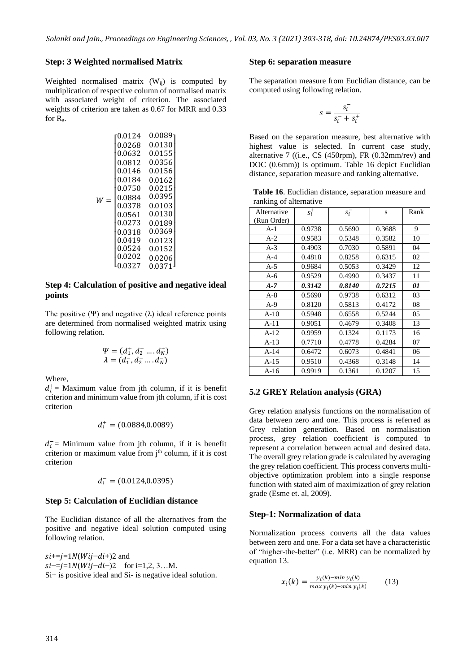#### **Step: 3 Weighted normalised Matrix**

Weighted normalised matrix  $(W_{ij})$  is computed by multiplication of respective column of normalised matrix with associated weight of criterion. The associated weights of criterion are taken as 0.67 for MRR and 0.33 for Ra.

$$
W = \begin{bmatrix} 0.0124 & 0.0089 \\ 0.0268 & 0.0130 \\ 0.0632 & 0.0155 \\ 0.0812 & 0.0356 \\ 0.0146 & 0.0156 \\ 0.0184 & 0.0162 \\ 0.0750 & 0.0215 \\ 0.0378 & 0.0395 \\ 0.0378 & 0.0103 \\ 0.0561 & 0.0130 \\ 0.0273 & 0.0189 \\ 0.0318 & 0.0369 \\ 0.0419 & 0.0123 \\ 0.0524 & 0.0152 \\ 0.0202 & 0.0206 \\ 0.0327 & 0.0371 \end{bmatrix}
$$

#### **Step 4: Calculation of positive and negative ideal points**

The positive (Ψ) and negative ( $\lambda$ ) ideal reference points are determined from normalised weighted matrix using following relation.

$$
\Psi = (d_1^+, d_2^+ \dots d_N^+)
$$
  

$$
\lambda = (d_1^-, d_2^-\dots d_N^-)
$$

Where,

 $d_i^+$  = Maximum value from jth column, if it is benefit criterion and minimum value from jth column, if it is cost criterion

$$
d_i^+ = (0.0884, 0.0089)
$$

 $d_i^-$ = Minimum value from jth column, if it is benefit criterion or maximum value from j<sup>th</sup> column, if it is cost criterion

$$
d_{i}^{-}=\left(0.0124,0.0395\right)
$$

#### **Step 5: Calculation of Euclidian distance**

The Euclidian distance of all the alternatives from the positive and negative ideal solution computed using following relation.

 $si+=j=1N(Wij-di+)2$  and  $si = j = 1N(Wij - di - )2$  for i=1,2, 3…M. Si+ is positive ideal and Si- is negative ideal solution.

#### **Step 6: separation measure**

The separation measure from Euclidian distance, can be computed using following relation.

$$
s = \frac{s_i^-}{s_i^- + s_i^+}
$$

Based on the separation measure, best alternative with highest value is selected. In current case study, alternative 7 ((i.e., CS (450rpm), FR (0.32mm/rev) and DOC (0.6mm)) is optimum. Table 16 depict Euclidian distance, separation measure and ranking alternative.

**Table 16**. Euclidian distance, separation measure and ranking of alternative

| Alternative<br>(Run Order) | $s_i^+$ | $s_i^-$ | S      | Rank |
|----------------------------|---------|---------|--------|------|
| $A-1$                      | 0.9738  | 0.5690  | 0.3688 | 9    |
| $A-2$                      | 0.9583  | 0.5348  | 0.3582 | 10   |
| $A-3$                      | 0.4903  | 0.7030  | 0.5891 | 04   |
| $A-4$                      | 0.4818  | 0.8258  | 0.6315 | 02   |
| $A-5$                      | 0.9684  | 0.5053  | 0.3429 | 12   |
| $A-6$                      | 0.9529  | 0.4990  | 0.3437 | 11   |
| $A-7$                      | 0.3142  | 0.8140  | 0.7215 | 01   |
| $A-8$                      | 0.5690  | 0.9738  | 0.6312 | 03   |
| $A-9$                      | 0.8120  | 0.5813  | 0.4172 | 08   |
| $A-10$                     | 0.5948  | 0.6558  | 0.5244 | 05   |
| $A-11$                     | 0.9051  | 0.4679  | 0.3408 | 13   |
| $A-12$                     | 0.9959  | 0.1324  | 0.1173 | 16   |
| $A-13$                     | 0.7710  | 0.4778  | 0.4284 | 07   |
| $A-14$                     | 0.6472  | 0.6073  | 0.4841 | 06   |
| $A-15$                     | 0.9510  | 0.4368  | 0.3148 | 14   |
| $A-16$                     | 0.9919  | 0.1361  | 0.1207 | 15   |

#### **5.2 GREY Relation analysis (GRA)**

Grey relation analysis functions on the normalisation of data between zero and one. This process is referred as Grey relation generation. Based on normalisation process, grey relation coefficient is computed to represent a correlation between actual and desired data. The overall grey relation grade is calculated by averaging the grey relation coefficient. This process converts multiobjective optimization problem into a single response function with stated aim of maximization of grey relation grade (Esme et. al, 2009).

#### **Step-1: Normalization of data**

Normalization process converts all the data values between zero and one. For a data set have a characteristic of "higher-the-better" (i.e. MRR) can be normalized by equation 13.

$$
x_i(k) = \frac{y_i(k) - \min y_i(k)}{\max y_i(k) - \min y_i(k)}\tag{13}
$$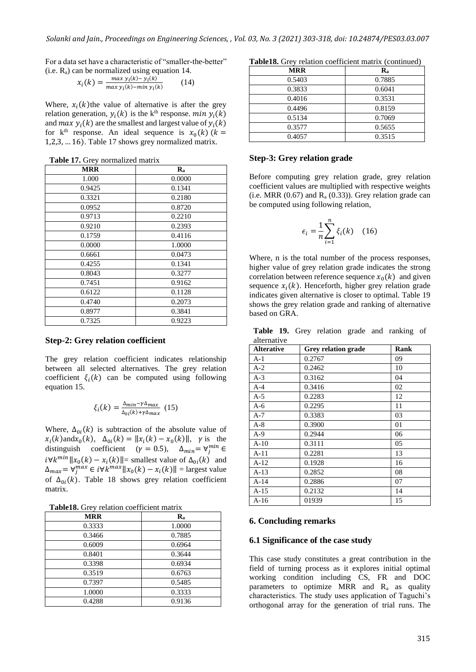For a data set have a characteristic of "smaller-the-better" (i.e. Ra) can be normalized using equation 14.

$$
x_i(k) = \frac{\max y_i(k) - y_i(k)}{\max y_i(k) - \min y_i(k)} \tag{14}
$$

Where,  $x_i(k)$  the value of alternative is after the grey relation generation,  $y_i(k)$  is the k<sup>th</sup> response.  $min y_i(k)$ and  $max y_i(k)$  are the smallest and largest value of  $y_i(k)$ for  $k^{th}$  response. An ideal sequence is  $x_0(k)$  ( $k =$ 1,2,3, … 16). Table 17 shows grey normalized matrix.

**Table 17.** Grey normalized matrix

| <b>MRR</b> | $\mathbf{R}_{\mathbf{a}}$ |
|------------|---------------------------|
| 1.000      | 0.0000                    |
| 0.9425     | 0.1341                    |
| 0.3321     | 0.2180                    |
| 0.0952     | 0.8720                    |
| 0.9713     | 0.2210                    |
| 0.9210     | 0.2393                    |
| 0.1759     | 0.4116                    |
| 0.0000     | 1.0000                    |
| 0.6661     | 0.0473                    |
| 0.4255     | 0.1341                    |
| 0.8043     | 0.3277                    |
| 0.7451     | 0.9162                    |
| 0.6122     | 0.1128                    |
| 0.4740     | 0.2073                    |
| 0.8977     | 0.3841                    |
| 0.7325     | 0.9223                    |

#### **Step-2: Grey relation coefficient**

The grey relation coefficient indicates relationship between all selected alternatives. The grey relation coefficient  $\xi_i(k)$  can be computed using following equation 15.

$$
\xi_i(k) = \frac{\Delta_{min} - \gamma \Delta_{max}}{\Delta_{0i}(k) + \gamma \Delta_{max}} (15)
$$

Where,  $\Delta_{0i}(k)$  is subtraction of the absolute value of  $x_i(k)$  and  $x_0(k)$ ,  $\Delta_{0i}(k) = ||x_i(k) - x_0(k)||$ ,  $\gamma$  is the distinguish coefficient ( $\gamma = 0.5$ ),  $\Delta_{min} = \forall_j^{min} \in$ *i*∀*k*<sup>*min*</sup>  $||x_0(k) - x_i(k)||$ = smallest value of  $\Delta_{0i}(k)$  and  $\Delta_{max} = \forall_j^{max} \in i \forall k^{max} ||x_0(k) - x_i(k)|| =$  largest value of  $\Delta_{0i}(k)$ . Table 18 shows grey relation coefficient matrix.

| <b>MRR</b> | $\mathbf{R}_{\mathbf{a}}$ |
|------------|---------------------------|
| 0.3333     | 1.0000                    |
| 0.3466     | 0.7885                    |
| 0.6009     | 0.6964                    |
| 0.8401     | 0.3644                    |
| 0.3398     | 0.6934                    |
| 0.3519     | 0.6763                    |
| 0.7397     | 0.5485                    |
| 1.0000     | 0.3333                    |
| 0.4288     | 0.9136                    |

**Table18.** Grey relation coefficient matrix (continued)

| <b>MRR</b> | Ra     |
|------------|--------|
| 0.5403     | 0.7885 |
| 0.3833     | 0.6041 |
| 0.4016     | 0.3531 |
| 0.4496     | 0.8159 |
| 0.5134     | 0.7069 |
| 0.3577     | 0.5655 |
| 0.4057     | 0.3515 |

#### **Step-3: Grey relation grade**

Before computing grey relation grade, grey relation coefficient values are multiplied with respective weights (i.e. MRR  $(0.67)$  and  $R_a (0.33)$ ). Grey relation grade can be computed using following relation,

$$
\epsilon_i = \frac{1}{n} \sum_{i=1}^n \xi_i(k) \quad (16)
$$

Where, n is the total number of the process responses, higher value of grey relation grade indicates the strong correlation between reference sequence  $x_0(k)$  and given sequence  $x_i(k)$ . Henceforth, higher grey relation grade indicates given alternative is closer to optimal. Table 19 shows the grey relation grade and ranking of alternative based on GRA.

**Table 19.** Grey relation grade and ranking of alternative

| <b>Alterative</b> | <b>Grey relation grade</b> | Rank |
|-------------------|----------------------------|------|
| A-1               | 0.2767                     | 09   |
| $A-2$             | 0.2462                     | 10   |
| $A-3$             | 0.3162                     | 04   |
| $A-4$             | 0.3416                     | 02   |
| $A-5$             | 0.2283                     | 12   |
| $A-6$             | 0.2295                     | 11   |
| $A-7$             | 0.3383                     | 03   |
| $A-8$             | 0.3900                     | 01   |
| $A-9$             | 0.2944                     | 06   |
| $A-10$            | 0.3111                     | 05   |
| $A-11$            | 0.2281                     | 13   |
| $A-12$            | 0.1928                     | 16   |
| $A-13$            | 0.2852                     | 08   |
| $A-14$            | 0.2886                     | 07   |
| $A-15$            | 0.2132                     | 14   |
| $A-16$            | 01939                      | 15   |

#### **6. Concluding remarks**

#### **6.1 Significance of the case study**

This case study constitutes a great contribution in the field of turning process as it explores initial optimal working condition including CS, FR and DOC parameters to optimize MRR and  $R_a$  as quality characteristics. The study uses application of Taguchi's orthogonal array for the generation of trial runs. The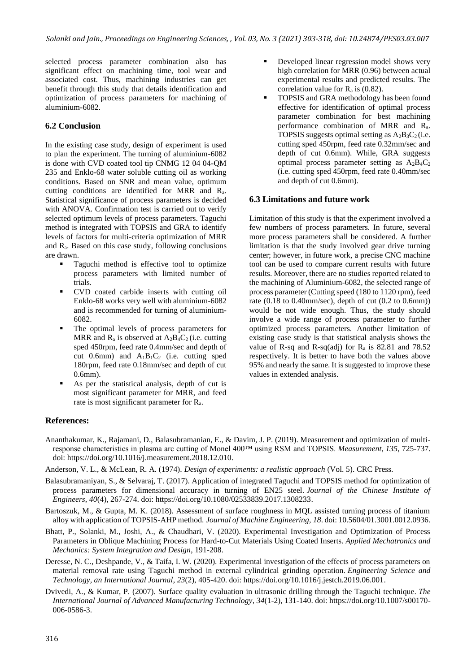selected process parameter combination also has significant effect on machining time, tool wear and associated cost. Thus, machining industries can get benefit through this study that details identification and optimization of process parameters for machining of aluminium-6082.

# **6.2 Conclusion**

In the existing case study, design of experiment is used to plan the experiment. The turning of aluminium-6082 is done with CVD coated tool tip CNMG 12 04 04-QM 235 and Enklo-68 water soluble cutting oil as working conditions. Based on SNR and mean value, optimum cutting conditions are identified for MRR and Ra. Statistical significance of process parameters is decided with ANOVA. Confirmation test is carried out to verify selected optimum levels of process parameters. Taguchi method is integrated with TOPSIS and GRA to identify levels of factors for multi-criteria optimization of MRR and Ra. Based on this case study, following conclusions are drawn.

- Taguchi method is effective tool to optimize process parameters with limited number of trials.
- CVD coated carbide inserts with cutting oil Enklo-68 works very well with aluminium-6082 and is recommended for turning of aluminium-6082.
- The optimal levels of process parameters for MRR and  $R_a$  is observed at  $A_2B_4C_2$  (i.e. cutting sped 450rpm, feed rate 0.4mm/sec and depth of cut 0.6mm) and  $A_1B_1C_2$  (i.e. cutting sped 180rpm, feed rate 0.18mm/sec and depth of cut 0.6mm).
- As per the statistical analysis, depth of cut is most significant parameter for MRR, and feed rate is most significant parameter for Ra.
- Developed linear regression model shows very high correlation for MRR (0.96) between actual experimental results and predicted results. The correlation value for  $R_a$  is (0.82).
- TOPSIS and GRA methodology has been found effective for identification of optimal process parameter combination for best machining performance combination of MRR and Ra. TOPSIS suggests optimal setting as  $A_2B_3C_2$  (i.e. cutting sped 450rpm, feed rate 0.32mm/sec and depth of cut 0.6mm). While, GRA suggests optimal process parameter setting as  $A_2B_4C_2$ (i.e. cutting sped 450rpm, feed rate 0.40mm/sec and depth of cut 0.6mm).

# **6.3 Limitations and future work**

Limitation of this study is that the experiment involved a few numbers of process parameters. In future, several more process parameters shall be considered. A further limitation is that the study involved gear drive turning center; however, in future work, a precise CNC machine tool can be used to compare current results with future results. Moreover, there are no studies reported related to the machining of Aluminium-6082, the selected range of process parameter (Cutting speed (180 to 1120 rpm), feed rate (0.18 to 0.40mm/sec), depth of cut (0.2 to 0.6mm)) would be not wide enough. Thus, the study should involve a wide range of process parameter to further optimized process parameters. Another limitation of existing case study is that statistical analysis shows the value of R-sq and R-sq(adj) for  $R_a$  is 82.81 and 78.52 respectively. It is better to have both the values above 95% and nearly the same. It is suggested to improve these values in extended analysis.

# **References:**

- Ananthakumar, K., Rajamani, D., Balasubramanian, E., & Davim, J. P. (2019). Measurement and optimization of multiresponse characteristics in plasma arc cutting of Monel 400™ using RSM and TOPSIS. *Measurement*, *135*, 725-737. doi: [https://doi.org/10.1016/j.measurement.2018.12.010.](https://doi.org/10.1016/j.measurement.2018.12.010)
- Anderson, V. L., & McLean, R. A. (1974). *Design of experiments: a realistic approach* (Vol. 5). CRC Press.
- Balasubramaniyan, S., & Selvaraj, T. (2017). Application of integrated Taguchi and TOPSIS method for optimization of process parameters for dimensional accuracy in turning of EN25 steel. *Journal of the Chinese Institute of Engineers*, *40*(4), 267-274. doi[: https://doi.org/10.1080/02533839.2017.1308233.](https://doi.org/10.1080/02533839.2017.1308233)
- Bartoszuk, M., & Gupta, M. K. (2018). Assessment of surface roughness in MQL assisted turning process of titanium alloy with application of TOPSIS-AHP method. *Journal of Machine Engineering*, *18*. doi: 10.5604/01.3001.0012.0936.
- Bhatt, P., Solanki, M., Joshi, A., & Chaudhari, V. (2020). Experimental Investigation and Optimization of Process Parameters in Oblique Machining Process for Hard-to-Cut Materials Using Coated Inserts. *Applied Mechatronics and Mechanics: System Integration and Design*, 191-208.
- Deresse, N. C., Deshpande, V., & Taifa, I. W. (2020). Experimental investigation of the effects of process parameters on material removal rate using Taguchi method in external cylindrical grinding operation. *Engineering Science and Technology, an International Journal*, *23*(2), 405-420. doi[: https://doi.org/10.1016/j.jestch.2019.06.001.](https://doi.org/10.1016/j.jestch.2019.06.001)
- Dvivedi, A., & Kumar, P. (2007). Surface quality evaluation in ultrasonic drilling through the Taguchi technique. *The International Journal of Advanced Manufacturing Technology*, *34*(1-2), 131-140. doi: [https://doi.org/10.1007/s00170-](https://doi.org/10.1007/s00170-006-0586-3) [006-0586-3.](https://doi.org/10.1007/s00170-006-0586-3)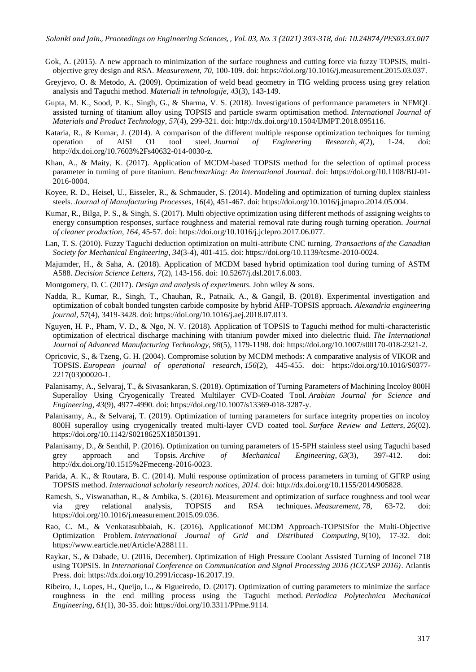- Gok, A. (2015). A new approach to minimization of the surface roughness and cutting force via fuzzy TOPSIS, multiobjective grey design and RSA. *Measurement*, *70*, 100-109. doi: [https://doi.org/10.1016/j.measurement.2015.03.037.](https://doi.org/10.1016/j.measurement.2015.03.037)
- Greyjevo, O. & Metodo, A. (2009). Optimization of weld bead geometry in TIG welding process using grey relation analysis and Taguchi method. *Materiali in tehnologije*, *43*(3), 143-149.
- Gupta, M. K., Sood, P. K., Singh, G., & Sharma, V. S. (2018). Investigations of performance parameters in NFMQL assisted turning of titanium alloy using TOPSIS and particle swarm optimisation method. *International Journal of Materials and Product Technology*, *57*(4), 299-321. doi[: http://dx.doi.org/10.1504/IJMPT.2018.095116.](http://dx.doi.org/10.1504/IJMPT.2018.095116)
- Kataria, R., & Kumar, J. (2014). A comparison of the different multiple response optimization techniques for turning operation of AISI O1 tool steel. *Journal of Engineering Research*, *4*(2), 1-24. doi: [http://dx.doi.org/10.7603%2Fs40632-014-0030-z.](http://dx.doi.org/10.7603%2Fs40632-014-0030-z)
- Khan, A., & Maity, K. (2017). Application of MCDM-based TOPSIS method for the selection of optimal process parameter in turning of pure titanium. *Benchmarking: An International Journal*. doi: [https://doi.org/10.1108/BIJ-01-](https://doi.org/10.1108/BIJ-01-2016-0004) [2016-0004.](https://doi.org/10.1108/BIJ-01-2016-0004)
- Koyee, R. D., Heisel, U., Eisseler, R., & Schmauder, S. (2014). Modeling and optimization of turning duplex stainless steels. *Journal of Manufacturing Processes*, *16*(4), 451-467. doi[: https://doi.org/10.1016/j.jmapro.2014.05.004.](https://doi.org/10.1016/j.jmapro.2014.05.004)
- Kumar, R., Bilga, P. S., & Singh, S. (2017). Multi objective optimization using different methods of assigning weights to energy consumption responses, surface roughness and material removal rate during rough turning operation. *Journal of cleaner production*, *164*, 45-57. doi: [https://doi.org/10.1016/j.jclepro.2017.06.077.](https://doi.org/10.1016/j.jclepro.2017.06.077)
- Lan, T. S. (2010). Fuzzy Taguchi deduction optimization on multi-attribute CNC turning. *Transactions of the Canadian Society for Mechanical Engineering*, *34*(3-4), 401-415. doi: [https://doi.org/10.1139/tcsme-2010-0024.](https://doi.org/10.1139/tcsme-2010-0024)
- Majumder, H., & Saha, A. (2018). Application of MCDM based hybrid optimization tool during turning of ASTM A588. *Decision Science Letters*, *7*(2), 143-156. doi: 10.5267/j.dsl.2017.6.003.
- Montgomery, D. C. (2017). *Design and analysis of experiments*. John wiley & sons.
- Nadda, R., Kumar, R., Singh, T., Chauhan, R., Patnaik, A., & Gangil, B. (2018). Experimental investigation and optimization of cobalt bonded tungsten carbide composite by hybrid AHP-TOPSIS approach. *Alexandria engineering journal*, *57*(4), 3419-3428. doi: [https://doi.org/10.1016/j.aej.2018.07.013.](https://doi.org/10.1016/j.aej.2018.07.013)
- Nguyen, H. P., Pham, V. D., & Ngo, N. V. (2018). Application of TOPSIS to Taguchi method for multi-characteristic optimization of electrical discharge machining with titanium powder mixed into dielectric fluid. *The International Journal of Advanced Manufacturing Technology*, *98*(5), 1179-1198. doi: [https://doi.org/10.1007/s00170-018-2321-2.](https://doi.org/10.1007/s00170-018-2321-2)
- Opricovic, S., & Tzeng, G. H. (2004). Compromise solution by MCDM methods: A comparative analysis of VIKOR and TOPSIS. *European journal of operational research*, *156*(2), 445-455. doi: [https://doi.org/10.1016/S0377-](https://doi.org/10.1016/S0377-2217(03)00020-1) [2217\(03\)00020-1.](https://doi.org/10.1016/S0377-2217(03)00020-1)
- Palanisamy, A., Selvaraj, T., & Sivasankaran, S. (2018). Optimization of Turning Parameters of Machining Incoloy 800H Superalloy Using Cryogenically Treated Multilayer CVD-Coated Tool. *Arabian Journal for Science and Engineering*, *43*(9), 4977-4990. doi[: https://doi.org/10.1007/s13369-018-3287-y.](https://doi.org/10.1007/s13369-018-3287-y)
- Palanisamy, A., & Selvaraj, T. (2019). Optimization of turning parameters for surface integrity properties on incoloy 800H superalloy using cryogenically treated multi-layer CVD coated tool. *Surface Review and Letters*, *26*(02). [https://doi.org/10.1142/S0218625X18501391.](https://doi.org/10.1142/S0218625X18501391)
- Palanisamy, D., & Senthil, P. (2016). Optimization on turning parameters of 15-5PH stainless steel using Taguchi based grey approach and Topsis. *Archive of Mechanical Engineering*, *63*(3), 397-412. doi: [http://dx.doi.org/10.1515%2Fmeceng-2016-0023.](http://dx.doi.org/10.1515%2Fmeceng-2016-0023)
- Parida, A. K., & Routara, B. C. (2014). Multi response optimization of process parameters in turning of GFRP using TOPSIS method. *International scholarly research notices*, *2014*. doi: [http://dx.doi.org/10.1155/2014/905828.](http://dx.doi.org/10.1155/2014/905828)
- Ramesh, S., Viswanathan, R., & Ambika, S. (2016). Measurement and optimization of surface roughness and tool wear via grey relational analysis, TOPSIS and RSA techniques. *Measurement*, *78*, 63-72. doi: [https://doi.org/10.1016/j.measurement.2015.09.036.](https://doi.org/10.1016/j.measurement.2015.09.036)
- Rao, C. M., & Venkatasubbaiah, K. (2016). Applicationof MCDM Approach-TOPSISfor the Multi-Objective Optimization Problem. *International Journal of Grid and Distributed Computing*, *9*(10), 17-32. doi: [https://www.earticle.net/Article/A288111.](https://www.earticle.net/Article/A288111)
- Raykar, S., & Dabade, U. (2016, December). Optimization of High Pressure Coolant Assisted Turning of Inconel 718 using TOPSIS. In *International Conference on Communication and Signal Processing 2016 (ICCASP 2016)*. Atlantis Press. doi: [https://dx.doi.org/10.2991/iccasp-16.2017.19.](https://dx.doi.org/10.2991/iccasp-16.2017.19)
- Ribeiro, J., Lopes, H., Queijo, L., & Figueiredo, D. (2017). Optimization of cutting parameters to minimize the surface roughness in the end milling process using the Taguchi method. *Periodica Polytechnica Mechanical Engineering*, *61*(1), 30-35. doi: [https://doi.org/10.3311/PPme.9114.](https://doi.org/10.3311/PPme.9114)